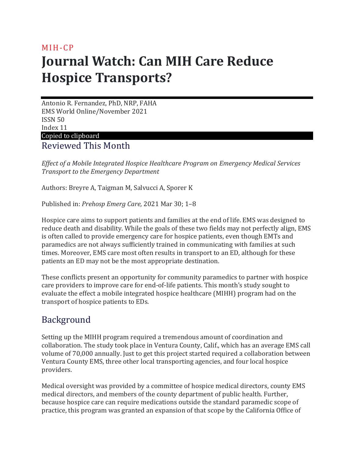## MIH-CP **Journal Watch: Can MIH Care Reduce Hospice Transports?**

Antonio R. Fernandez, PhD, NRP, FAHA EMS World Online/November 2021 ISSN 50 Index 11 Copied to clipboard

Reviewed This Month

*Effect of a Mobile Integrated Hospice Healthcare Program on Emergency Medical Services Transport to the Emergency Department*

Authors: Breyre A, Taigman M, Salvucci A, Sporer K

Published in: *Prehosp Emerg Care,* 2021 Mar 30; 1–8

Hospice care aims to support patients and families at the end of life. EMS was designed to reduce death and disability. While the goals of these two fields may not perfectly align, EMS is often called to provide emergency care for hospice patients, even though EMTs and paramedics are not always sufficiently trained in communicating with families at such times. Moreover, EMS care most often results in transport to an ED, although for these patients an ED may not be the most appropriate destination.

These conflicts present an opportunity for community paramedics to partner with hospice care providers to improve care for end-of-life patients. This month's study sought to evaluate the effect a mobile integrated hospice healthcare (MIHH) program had on the transport of hospice patients to EDs.

## Background

Setting up the MIHH program required a tremendous amount of coordination and collaboration. The study took place in Ventura County, Calif., which has an average EMS call volume of 70,000 annually. Just to get this project started required a collaboration between Ventura County EMS, three other local transporting agencies, and four local hospice providers.

Medical oversight was provided by a committee of hospice medical directors, county EMS medical directors, and members of the county department of public health. Further, because hospice care can require medications outside the standard paramedic scope of practice, this program was granted an expansion of that scope by the California Office of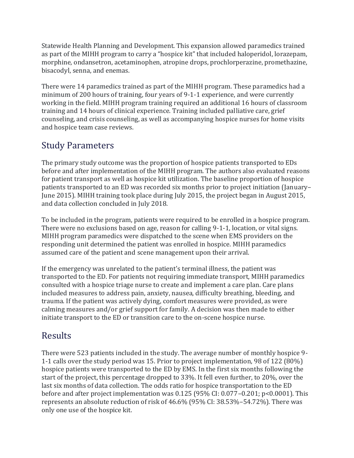Statewide Health Planning and Development. This expansion allowed paramedics trained as part of the MIHH program to carry a "hospice kit" that included haloperidol, lorazepam, morphine, ondansetron, acetaminophen, atropine drops, prochlorperazine, promethazine, bisacodyl, senna, and enemas.

There were 14 paramedics trained as part of the MIHH program. These paramedics had a minimum of 200 hours of training, four years of 9-1-1 experience, and were currently working in the field. MIHH program training required an additional 16 hours of classroom training and 14 hours of clinical experience. Training included palliative care, grief counseling, and crisis counseling, as well as accompanying hospice nurses for home visits and hospice team case reviews.

## Study Parameters

The primary study outcome was the proportion of hospice patients transported to EDs before and after implementation of the MIHH program. The authors also evaluated reasons for patient transport as well as hospice kit utilization. The baseline proportion of hospice patients transported to an ED was recorded six months prior to project initiation (January– June 2015). MIHH training took place during July 2015, the project began in August 2015, and data collection concluded in July 2018.

To be included in the program, patients were required to be enrolled in a hospice program. There were no exclusions based on age, reason for calling 9-1-1, location, or vital signs. MIHH program paramedics were dispatched to the scene when EMS providers on the responding unit determined the patient was enrolled in hospice. MIHH paramedics assumed care of the patient and scene management upon their arrival.

If the emergency was unrelated to the patient's terminal illness, the patient was transported to the ED. For patients not requiring immediate transport, MIHH paramedics consulted with a hospice triage nurse to create and implement a care plan. Care plans included measures to address pain, anxiety, nausea, difficulty breathing, bleeding, and trauma. If the patient was actively dying, comfort measures were provided, as were calming measures and/or grief support for family. A decision was then made to either initiate transport to the ED or transition care to the on-scene hospice nurse.

## Results

There were 523 patients included in the study. The average number of monthly hospice 9- 1-1 calls over the study period was 15. Prior to project implementation, 98 of 122 (80%) hospice patients were transported to the ED by EMS. In the first six months following the start of the project, this percentage dropped to 33%. It fell even further, to 20%, over the last six months of data collection. The odds ratio for hospice transportation to the ED before and after project implementation was 0.125 (95% CI: 0.077–0.201; p<0.0001). This represents an absolute reduction of risk of 46.6% (95% CI: 38.53%–54.72%). There was only one use of the hospice kit.